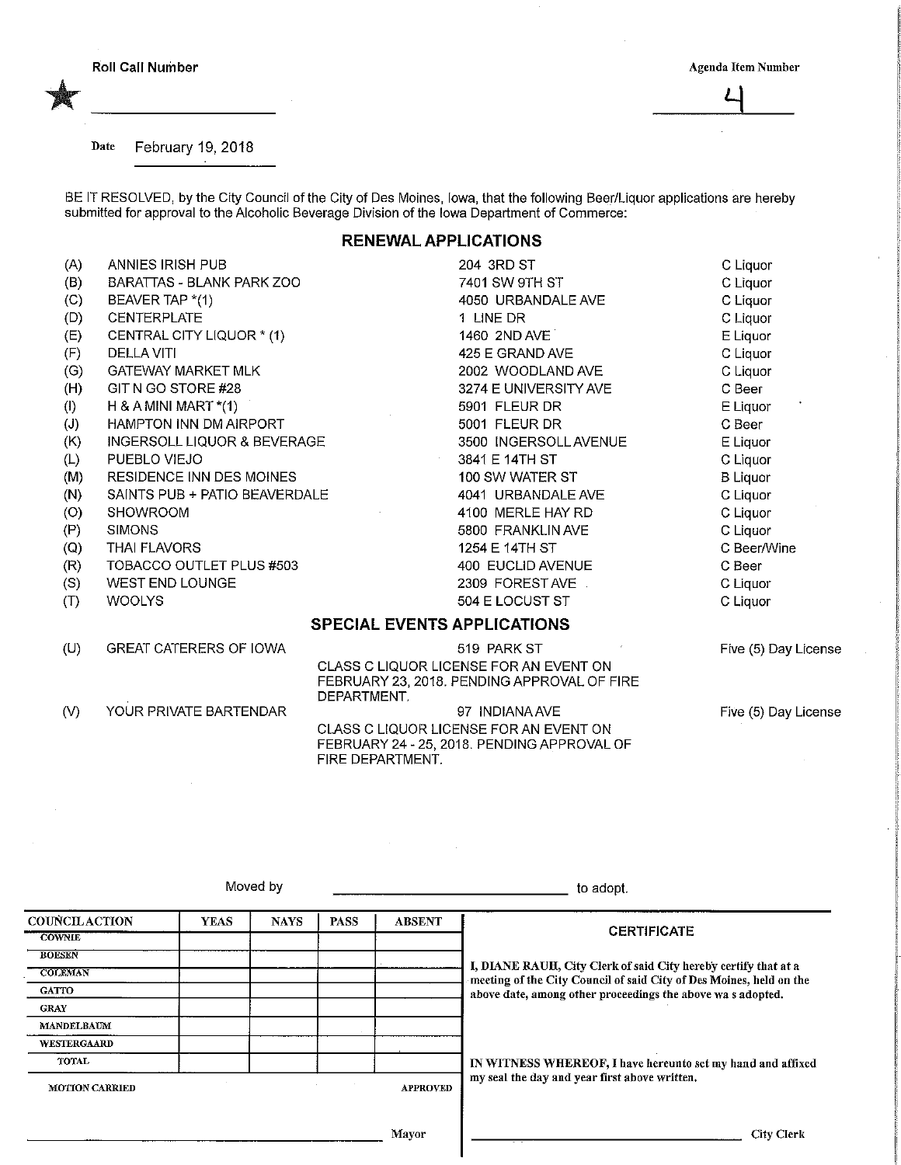**Roll Call Number** 

Agenda Item Number

,

Date February 19, 2018

YOUR PRIVATE BARTENDAR

 $(V)$ 

BE IT RESOLVED, by the City Council of the City of Des Moines, lowa, that the following Beer/Liquor applications are hereby submitted for approval to the Alcoholic Beverage Division of the lowa Department of Commerce:

## **RENEWAL APPLICATIONS**

 $(A)$ **ANNIES IRISH PUB** 204 3RD ST C Liquor  $(B)$ **BARATTAS - BLANK PARK ZOO** 7401 SW 9TH ST C Liquor  $(C)$ BEAVER TAP \*(1) 4050 URBANDALE AVE C Liquor  $(D)$ C Liquor **CENTERPLATE** 1 LINE DR CENTRAL CITY LIQUOR \* (1) E Liquor  $(E)$ **1460 2ND AVE**  $(F)$ **DELLA VITI** 425 E GRAND AVE C Liquor C Liquor  $(G)$ GATEWAY MARKET MLK 2002 WOODLAND AVE  $(H)$ GIT N GO STORE #28 C Beer 3274 E UNIVERSITY AVE H & A MINI MART  $*(1)$ 5901 FLEUR DR E Liquor  $(1)$  $(J)$ **HAMPTON INN DM AIRPORT** 5001 FLEUR DR C Beer 3500 INGERSOLL AVENUE  $(K)$ INGERSOLL LIQUOR & BEVERAGE E Liquor  $(L)$ PUEBLO VIEJO 3841 E 14TH ST C Liquor  $(M)$ RESIDENCE INN DES MOINES 100 SW WATER ST **B** Liquor SAINTS PUB + PATIO BEAVERDALE 4041 URBANDALE AVE C Liquor  $(N)$  $(O)$ **SHOWROOM** 4100 MERLE HAY RD C Liquor  $(P)$ **SIMONS** 5800 FRANKLIN AVE C Liguor 1254 E 14TH ST **THAI FLAVORS** C Beer/Wine  $(Q)$  $(R)$ TOBACCO OUTLET PLUS #503 400 EUCLID AVENUE C Beer  $(S)$ WEST END LOUNGE 2309 FOREST AVE C Liquor **WOOLYS** 504 E LOCUST ST  $(T)$ C Liquor **SPECIAL EVENTS APPLICATIONS**  $(U)$ **GREAT CATERERS OF IOWA** 519 PARK ST Five (5) Day License CLASS C LIQUOR LICENSE FOR AN EVENT ON FEBRUARY 23, 2018. PENDING APPROVAL OF FIRE DEPARTMENT.

> 97 INDIANA AVE CLASS C LIQUOR LICENSE FOR AN EVENT ON FEBRUARY 24 - 25, 2018. PENDING APPROVAL OF FIRE DEPARTMENT.

Five (5) Day License

|                       |             | Moved by    | to adopt.   |                 |                                                                                                                                        |  |  |
|-----------------------|-------------|-------------|-------------|-----------------|----------------------------------------------------------------------------------------------------------------------------------------|--|--|
| <b>COUNCILACTION</b>  | <b>YEAS</b> | <b>NAYS</b> | <b>PASS</b> | <b>ABSENT</b>   |                                                                                                                                        |  |  |
| <b>COWNLE</b>         |             |             |             |                 | <b>CERTIFICATE</b>                                                                                                                     |  |  |
| <b>BOESEN</b>         |             |             |             |                 |                                                                                                                                        |  |  |
| <b>COLEMAN</b>        |             |             |             |                 | I, DIANE RAUH, City Clerk of said City hereby certify that at a<br>meeting of the City Council of said City of Des Moines, held on the |  |  |
| <b>GATTO</b>          |             |             |             |                 | above date, among other proceedings the above was adopted.                                                                             |  |  |
| <b>GRAY</b>           |             |             |             |                 |                                                                                                                                        |  |  |
| <b>MANDELBAUM</b>     |             |             |             |                 |                                                                                                                                        |  |  |
| <b>WESTERGAARD</b>    |             |             |             |                 |                                                                                                                                        |  |  |
| TOTAL                 |             |             |             |                 | IN WITNESS WHEREOF, I have hereunto set my hand and affixed<br>my seal the day and year first above written.                           |  |  |
| <b>MOTION CARRIED</b> |             |             |             | <b>APPROVED</b> |                                                                                                                                        |  |  |
|                       |             |             |             | Mavor           | City Clerk                                                                                                                             |  |  |